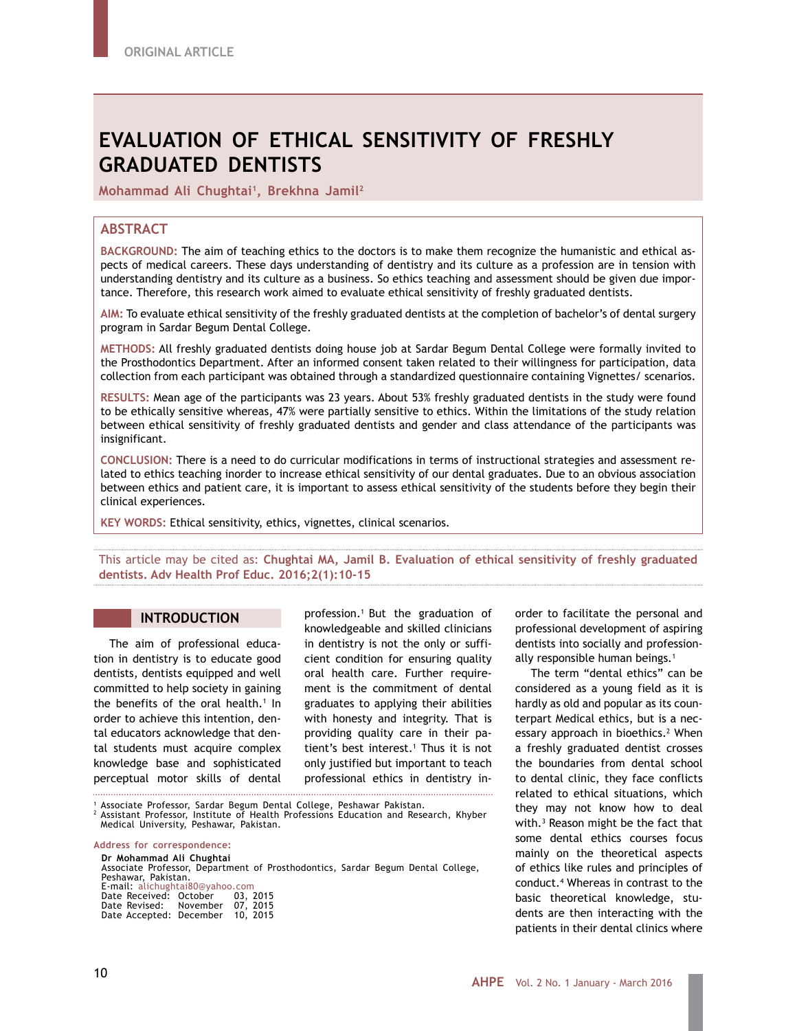# **EVALUATION OF ETHICAL SENSITIVITY OF FRESHLY GRADUATED DENTISTS**

**Mohammad Ali Chughtai1, Brekhna Jamil2**

# **ABSTRACT**

**BACKGROUND:** The aim of teaching ethics to the doctors is to make them recognize the humanistic and ethical aspects of medical careers. These days understanding of dentistry and its culture as a profession are in tension with understanding dentistry and its culture as a business. So ethics teaching and assessment should be given due importance. Therefore, this research work aimed to evaluate ethical sensitivity of freshly graduated dentists.

**AIM:** To evaluate ethical sensitivity of the freshly graduated dentists at the completion of bachelor's of dental surgery program in Sardar Begum Dental College.

**METHODS:** All freshly graduated dentists doing house job at Sardar Begum Dental College were formally invited to the Prosthodontics Department. After an informed consent taken related to their willingness for participation, data collection from each participant was obtained through a standardized questionnaire containing Vignettes/ scenarios.

**RESULTS:** Mean age of the participants was 23 years. About 53% freshly graduated dentists in the study were found to be ethically sensitive whereas, 47% were partially sensitive to ethics. Within the limitations of the study relation between ethical sensitivity of freshly graduated dentists and gender and class attendance of the participants was insignificant.

**CONCLUSION:** There is a need to do curricular modifications in terms of instructional strategies and assessment related to ethics teaching inorder to increase ethical sensitivity of our dental graduates. Due to an obvious association between ethics and patient care, it is important to assess ethical sensitivity of the students before they begin their clinical experiences.

**KEY WORDS:** Ethical sensitivity, ethics, vignettes, clinical scenarios.

This article may be cited as: **Chughtai MA, Jamil B. Evaluation of ethical sensitivity of freshly graduated dentists. Adv Health Prof Educ. 2016;2(1):10-15**

#### **INTRODUCTION**

The aim of professional education in dentistry is to educate good dentists, dentists equipped and well committed to help society in gaining the benefits of the oral health.<sup>1</sup> In order to achieve this intention, dental educators acknowledge that dental students must acquire complex knowledge base and sophisticated perceptual motor skills of dental

profession.1 But the graduation of knowledgeable and skilled clinicians in dentistry is not the only or sufficient condition for ensuring quality oral health care. Further requirement is the commitment of dental graduates to applying their abilities with honesty and integrity. That is providing quality care in their patient's best interest.1 Thus it is not only justified but important to teach professional ethics in dentistry in-

<sup>1</sup> Associate Professor, Sardar Begum Dental College, Peshawar Pakistan.<br><sup>2</sup> Assistant Professor, Institute of Health Professions Education and Research, Khyber Medical University, Peshawar, Pakistan.

**Address for correspondence:**

**Dr Mohammad Ali Chughtai** Associate Professor, Department of Prosthodontics, Sardar Begum Dental College, Peshawar, Pakistan. E-mail: alichughtai80@yahoo.com Date Received: October 03, 2015 Date Revised: November 07, 2015 Date Accepted: December 10, 2015

order to facilitate the personal and professional development of aspiring dentists into socially and professionally responsible human beings.<sup>1</sup>

The term "dental ethics" can be considered as a young field as it is hardly as old and popular as its counterpart Medical ethics, but is a necessary approach in bioethics.<sup>2</sup> When a freshly graduated dentist crosses the boundaries from dental school to dental clinic, they face conflicts related to ethical situations, which they may not know how to deal with.3 Reason might be the fact that some dental ethics courses focus mainly on the theoretical aspects of ethics like rules and principles of conduct.4 Whereas in contrast to the basic theoretical knowledge, students are then interacting with the patients in their dental clinics where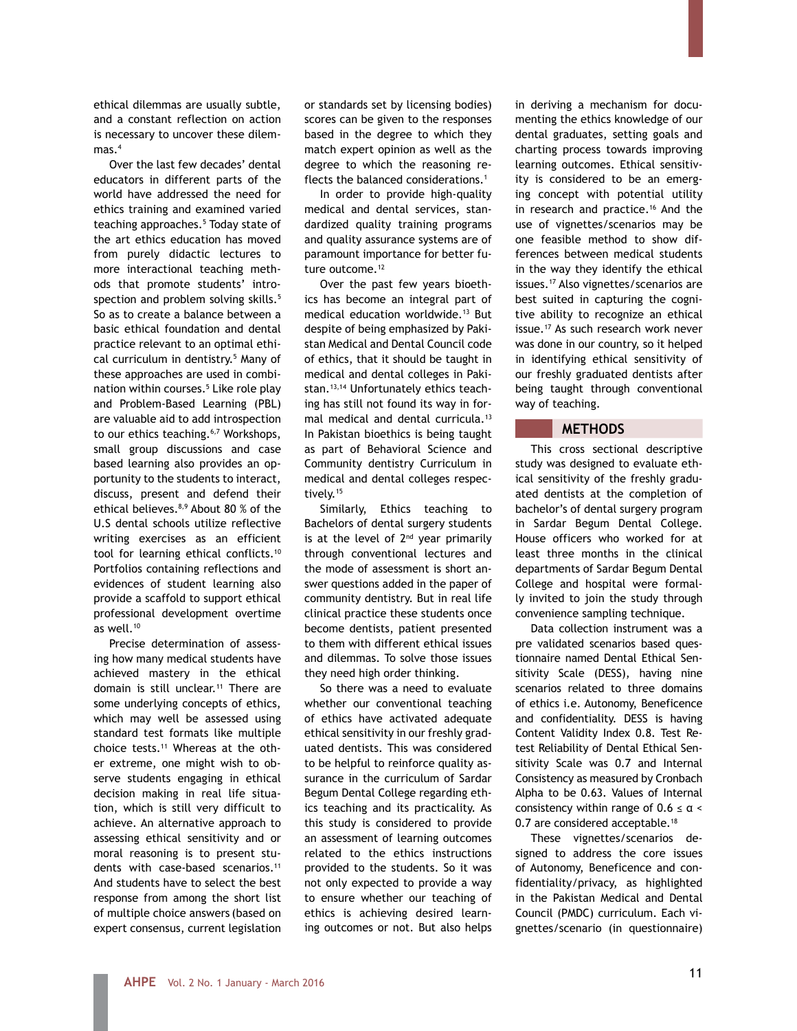ethical dilemmas are usually subtle, and a constant reflection on action is necessary to uncover these dilemmas $4$ 

Over the last few decades' dental educators in different parts of the world have addressed the need for ethics training and examined varied teaching approaches.<sup>5</sup> Today state of the art ethics education has moved from purely didactic lectures to more interactional teaching methods that promote students' introspection and problem solving skills.<sup>5</sup> So as to create a balance between a basic ethical foundation and dental practice relevant to an optimal ethical curriculum in dentistry.5 Many of these approaches are used in combination within courses.5 Like role play and Problem-Based Learning (PBL) are valuable aid to add introspection to our ethics teaching.<sup>6,7</sup> Workshops, small group discussions and case based learning also provides an opportunity to the students to interact, discuss, present and defend their ethical believes.8,9 About 80 % of the U.S dental schools utilize reflective writing exercises as an efficient tool for learning ethical conflicts.10 Portfolios containing reflections and evidences of student learning also provide a scaffold to support ethical professional development overtime as well.<sup>10</sup>

Precise determination of assessing how many medical students have achieved mastery in the ethical domain is still unclear.<sup>11</sup> There are some underlying concepts of ethics, which may well be assessed using standard test formats like multiple choice tests.11 Whereas at the other extreme, one might wish to observe students engaging in ethical decision making in real life situation, which is still very difficult to achieve. An alternative approach to assessing ethical sensitivity and or moral reasoning is to present students with case-based scenarios.<sup>11</sup> And students have to select the best response from among the short list of multiple choice answers (based on expert consensus, current legislation

or standards set by licensing bodies) scores can be given to the responses based in the degree to which they match expert opinion as well as the degree to which the reasoning reflects the balanced considerations.<sup>1</sup>

In order to provide high-quality medical and dental services, standardized quality training programs and quality assurance systems are of paramount importance for better future outcome.<sup>12</sup>

Over the past few years bioethics has become an integral part of medical education worldwide.<sup>13</sup> But despite of being emphasized by Pakistan Medical and Dental Council code of ethics, that it should be taught in medical and dental colleges in Pakistan.13,14 Unfortunately ethics teaching has still not found its way in formal medical and dental curricula.<sup>13</sup> In Pakistan bioethics is being taught as part of Behavioral Science and Community dentistry Curriculum in medical and dental colleges respectively.<sup>15</sup>

Similarly, Ethics teaching to Bachelors of dental surgery students is at the level of  $2<sup>nd</sup>$  year primarily through conventional lectures and the mode of assessment is short answer questions added in the paper of community dentistry. But in real life clinical practice these students once become dentists, patient presented to them with different ethical issues and dilemmas. To solve those issues they need high order thinking.

So there was a need to evaluate whether our conventional teaching of ethics have activated adequate ethical sensitivity in our freshly graduated dentists. This was considered to be helpful to reinforce quality assurance in the curriculum of Sardar Begum Dental College regarding ethics teaching and its practicality. As this study is considered to provide an assessment of learning outcomes related to the ethics instructions provided to the students. So it was not only expected to provide a way to ensure whether our teaching of ethics is achieving desired learning outcomes or not. But also helps

in deriving a mechanism for documenting the ethics knowledge of our dental graduates, setting goals and charting process towards improving learning outcomes. Ethical sensitivity is considered to be an emerging concept with potential utility in research and practice.<sup>16</sup> And the use of vignettes/scenarios may be one feasible method to show differences between medical students in the way they identify the ethical issues.17 Also vignettes/scenarios are best suited in capturing the cognitive ability to recognize an ethical issue.<sup>17</sup> As such research work never was done in our country, so it helped in identifying ethical sensitivity of our freshly graduated dentists after being taught through conventional way of teaching.

# **METHODS**

This cross sectional descriptive study was designed to evaluate ethical sensitivity of the freshly graduated dentists at the completion of bachelor's of dental surgery program in Sardar Begum Dental College. House officers who worked for at least three months in the clinical departments of Sardar Begum Dental College and hospital were formally invited to join the study through convenience sampling technique.

Data collection instrument was a pre validated scenarios based questionnaire named Dental Ethical Sensitivity Scale (DESS), having nine scenarios related to three domains of ethics i.e. Autonomy, Beneficence and confidentiality. DESS is having Content Validity Index 0.8. Test Retest Reliability of Dental Ethical Sensitivity Scale was 0.7 and Internal Consistency as measured by Cronbach Alpha to be 0.63. Values of Internal consistency within range of  $0.6 \le \alpha$ 0.7 are considered acceptable.<sup>18</sup>

These vignettes/scenarios designed to address the core issues of Autonomy, Beneficence and confidentiality/privacy, as highlighted in the Pakistan Medical and Dental Council (PMDC) curriculum. Each vignettes/scenario (in questionnaire)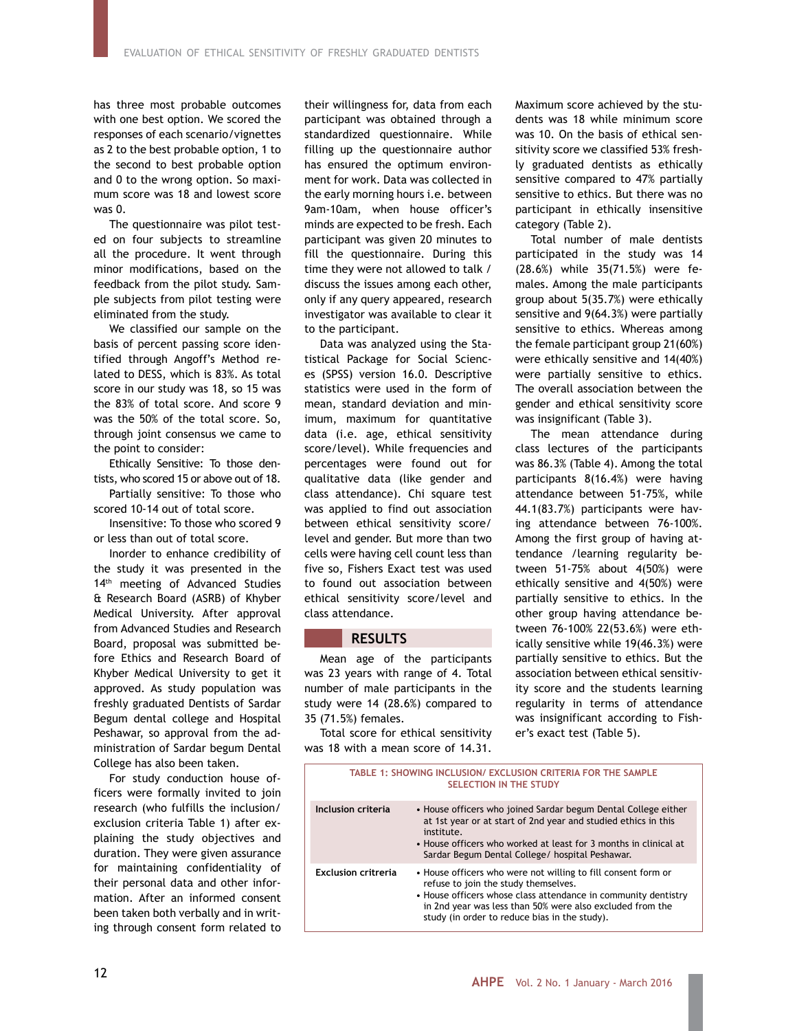has three most probable outcomes with one best option. We scored the responses of each scenario/vignettes as 2 to the best probable option, 1 to the second to best probable option and 0 to the wrong option. So maximum score was 18 and lowest score was 0.

The questionnaire was pilot tested on four subjects to streamline all the procedure. It went through minor modifications, based on the feedback from the pilot study. Sample subjects from pilot testing were eliminated from the study.

We classified our sample on the basis of percent passing score identified through Angoff's Method related to DESS, which is 83%. As total score in our study was 18, so 15 was the 83% of total score. And score 9 was the 50% of the total score. So, through joint consensus we came to the point to consider:

Ethically Sensitive: To those dentists, who scored 15 or above out of 18.

Partially sensitive: To those who scored 10-14 out of total score.

Insensitive: To those who scored 9 or less than out of total score.

Inorder to enhance credibility of the study it was presented in the 14<sup>th</sup> meeting of Advanced Studies & Research Board (ASRB) of Khyber Medical University. After approval from Advanced Studies and Research Board, proposal was submitted before Ethics and Research Board of Khyber Medical University to get it approved. As study population was freshly graduated Dentists of Sardar Begum dental college and Hospital Peshawar, so approval from the administration of Sardar begum Dental College has also been taken.

For study conduction house officers were formally invited to join research (who fulfills the inclusion/ exclusion criteria Table 1) after explaining the study objectives and duration. They were given assurance for maintaining confidentiality of their personal data and other information. After an informed consent been taken both verbally and in writing through consent form related to

their willingness for, data from each participant was obtained through a standardized questionnaire. While filling up the questionnaire author has ensured the optimum environment for work. Data was collected in the early morning hours i.e. between 9am-10am, when house officer's minds are expected to be fresh. Each participant was given 20 minutes to fill the questionnaire. During this time they were not allowed to talk / discuss the issues among each other, only if any query appeared, research investigator was available to clear it to the participant.

Data was analyzed using the Statistical Package for Social Sciences (SPSS) version 16.0. Descriptive statistics were used in the form of mean, standard deviation and minimum, maximum for quantitative data (i.e. age, ethical sensitivity score/level). While frequencies and percentages were found out for qualitative data (like gender and class attendance). Chi square test was applied to find out association between ethical sensitivity score/ level and gender. But more than two cells were having cell count less than five so, Fishers Exact test was used to found out association between ethical sensitivity score/level and class attendance.

### **RESULTS**

Mean age of the participants was 23 years with range of 4. Total number of male participants in the study were 14 (28.6%) compared to 35 (71.5%) females.

Total score for ethical sensitivity was 18 with a mean score of 14.31.

Maximum score achieved by the students was 18 while minimum score was 10. On the basis of ethical sensitivity score we classified 53% freshly graduated dentists as ethically sensitive compared to 47% partially sensitive to ethics. But there was no participant in ethically insensitive category (Table 2).

Total number of male dentists participated in the study was 14 (28.6%) while 35(71.5%) were females. Among the male participants group about 5(35.7%) were ethically sensitive and 9(64.3%) were partially sensitive to ethics. Whereas among the female participant group 21(60%) were ethically sensitive and 14(40%) were partially sensitive to ethics. The overall association between the gender and ethical sensitivity score was insignificant (Table 3).

The mean attendance during class lectures of the participants was 86.3% (Table 4). Among the total participants 8(16.4%) were having attendance between 51-75%, while 44.1(83.7%) participants were having attendance between 76-100%. Among the first group of having attendance /learning regularity between 51-75% about 4(50%) were ethically sensitive and 4(50%) were partially sensitive to ethics. In the other group having attendance between 76-100% 22(53.6%) were ethically sensitive while 19(46.3%) were partially sensitive to ethics. But the association between ethical sensitivity score and the students learning regularity in terms of attendance was insignificant according to Fisher's exact test (Table 5).

| TABLE 1: SHOWING INCLUSION/ EXCLUSION CRITERIA FOR THE SAMPLE<br><b>SELECTION IN THE STUDY</b> |                                                                                                                                                                                                                                                                                       |  |  |  |  |
|------------------------------------------------------------------------------------------------|---------------------------------------------------------------------------------------------------------------------------------------------------------------------------------------------------------------------------------------------------------------------------------------|--|--|--|--|
| Inclusion criteria                                                                             | • House officers who joined Sardar begum Dental College either<br>at 1st year or at start of 2nd year and studied ethics in this<br>institute.<br>• House officers who worked at least for 3 months in clinical at<br>Sardar Begum Dental College/ hospital Peshawar.                 |  |  |  |  |
| Exclusion critreria                                                                            | • House officers who were not willing to fill consent form or<br>refuse to join the study themselves.<br>• House officers whose class attendance in community dentistry<br>in 2nd year was less than 50% were also excluded from the<br>study (in order to reduce bias in the study). |  |  |  |  |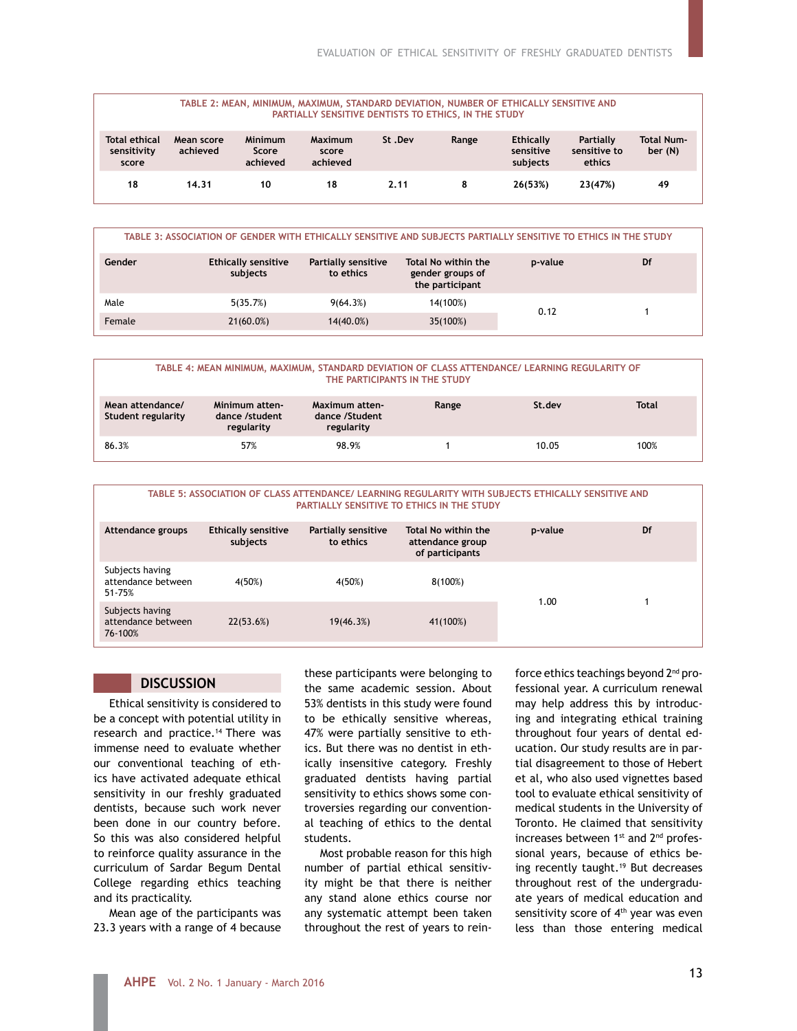| TABLE 2: MEAN, MINIMUM, MAXIMUM, STANDARD DEVIATION, NUMBER OF ETHICALLY SENSITIVE AND<br>PARTIALLY SENSITIVE DENTISTS TO ETHICS, IN THE STUDY |                        |                              |                              |        |       |                                           |                                     |                              |
|------------------------------------------------------------------------------------------------------------------------------------------------|------------------------|------------------------------|------------------------------|--------|-------|-------------------------------------------|-------------------------------------|------------------------------|
| <b>Total ethical</b><br>sensitivity<br>score                                                                                                   | Mean score<br>achieved | Minimum<br>Score<br>achieved | Maximum<br>score<br>achieved | St.Dev | Range | <b>Ethically</b><br>sensitive<br>subjects | Partially<br>sensitive to<br>ethics | <b>Total Num-</b><br>ber (N) |
| 18                                                                                                                                             | 14.31                  | 10                           | 18                           | 2.11   | 8     | 26(53%)                                   | 23(47%)                             | 49                           |

| TABLE 3: ASSOCIATION OF GENDER WITH ETHICALLY SENSITIVE AND SUBJECTS PARTIALLY SENSITIVE TO ETHICS IN THE STUDY |                                        |                                  |                                                            |         |    |  |
|-----------------------------------------------------------------------------------------------------------------|----------------------------------------|----------------------------------|------------------------------------------------------------|---------|----|--|
| Gender                                                                                                          | <b>Ethically sensitive</b><br>subjects | Partially sensitive<br>to ethics | Total No within the<br>gender groups of<br>the participant | p-value | Df |  |
| Male                                                                                                            | 5(35.7%)                               | 9(64.3%)                         | 14(100%)                                                   | 0.12    |    |  |
| Female                                                                                                          | $21(60.0\%)$                           | $14(40.0\%)$                     | 35(100%)                                                   |         |    |  |

#### **TABLE 4: MEAN MINIMUM, MAXIMUM, STANDARD DEVIATION OF CLASS ATTENDANCE/ LEARNING REGULARITY OF THE PARTICIPANTS IN THE STUDY**

| Mean attendance/<br>Student regularity | Minimum atten-<br>dance /student<br>regularity | Maximum atten-<br>dance /Student<br>regularity | Range | St.dev | <b>Total</b> |
|----------------------------------------|------------------------------------------------|------------------------------------------------|-------|--------|--------------|
| 86.3%                                  | 57%                                            | 98.9%                                          |       | 10.05  | 100%         |

#### **TABLE 5: ASSOCIATION OF CLASS ATTENDANCE/ LEARNING REGULARITY WITH SUBJECTS ETHICALLY SENSITIVE AND PARTIALLY SENSITIVE TO ETHICS IN THE STUDY**

| Attendance groups                                | <b>Ethically sensitive</b><br>subjects | Partially sensitive<br>to ethics | Total No within the<br>attendance group<br>of participants | p-value | Df |
|--------------------------------------------------|----------------------------------------|----------------------------------|------------------------------------------------------------|---------|----|
| Subjects having<br>attendance between<br>51-75%  | 4(50%)                                 | 4(50%)                           | $8(100\%)$                                                 | 1.00    |    |
| Subjects having<br>attendance between<br>76-100% | 22(53.6%)                              | 19(46.3%)                        | 41(100%)                                                   |         |    |

# **DISCUSSION**

Ethical sensitivity is considered to be a concept with potential utility in research and practice.14 There was immense need to evaluate whether our conventional teaching of ethics have activated adequate ethical sensitivity in our freshly graduated dentists, because such work never been done in our country before. So this was also considered helpful to reinforce quality assurance in the curriculum of Sardar Begum Dental College regarding ethics teaching and its practicality.

Mean age of the participants was 23.3 years with a range of 4 because

these participants were belonging to the same academic session. About 53% dentists in this study were found to be ethically sensitive whereas, 47% were partially sensitive to ethics. But there was no dentist in ethically insensitive category. Freshly graduated dentists having partial sensitivity to ethics shows some controversies regarding our conventional teaching of ethics to the dental students.

Most probable reason for this high number of partial ethical sensitivity might be that there is neither any stand alone ethics course nor any systematic attempt been taken throughout the rest of years to reinforce ethics teachings beyond 2<sup>nd</sup> professional year. A curriculum renewal may help address this by introducing and integrating ethical training throughout four years of dental education. Our study results are in partial disagreement to those of Hebert et al, who also used vignettes based tool to evaluate ethical sensitivity of medical students in the University of Toronto. He claimed that sensitivity increases between 1<sup>st</sup> and 2<sup>nd</sup> professional years, because of ethics being recently taught.<sup>19</sup> But decreases throughout rest of the undergraduate years of medical education and sensitivity score of 4<sup>th</sup> year was even less than those entering medical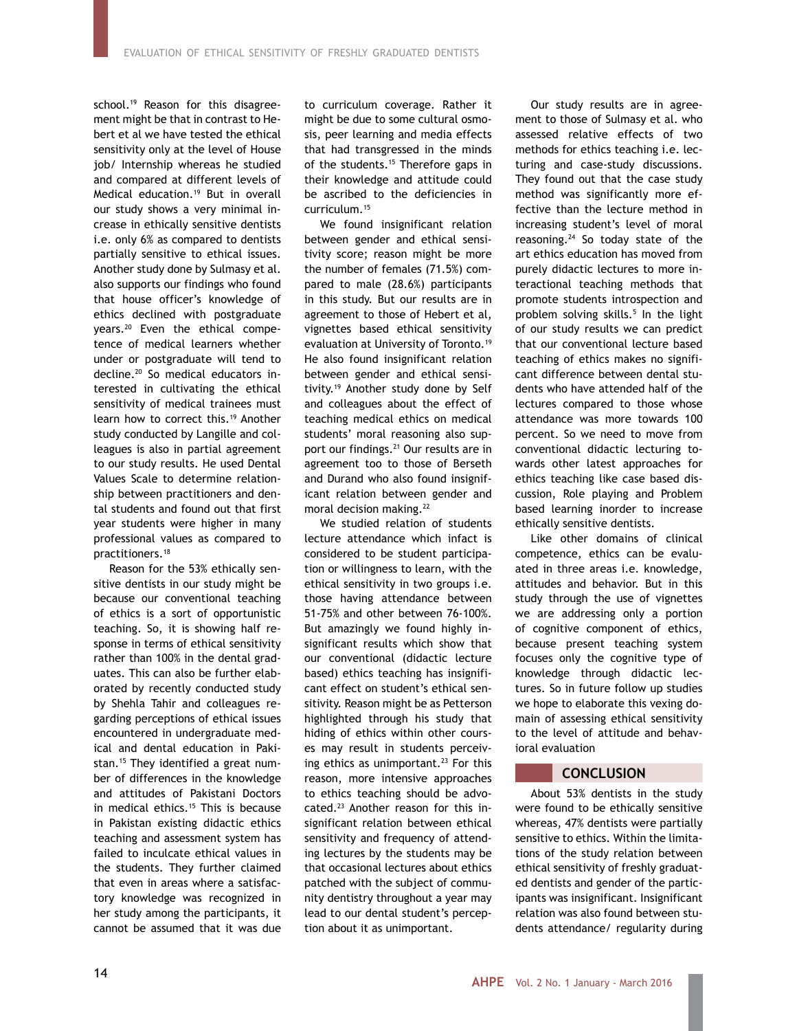school.<sup>19</sup> Reason for this disagreement might be that in contrast to Hebert et al we have tested the ethical sensitivity only at the level of House job/ Internship whereas he studied and compared at different levels of Medical education.19 But in overall our study shows a very minimal increase in ethically sensitive dentists i.e. only 6% as compared to dentists partially sensitive to ethical issues. Another study done by Sulmasy et al. also supports our findings who found that house officer's knowledge of ethics declined with postgraduate years.20 Even the ethical competence of medical learners whether under or postgraduate will tend to decline.20 So medical educators interested in cultivating the ethical sensitivity of medical trainees must learn how to correct this.<sup>19</sup> Another study conducted by Langille and colleagues is also in partial agreement to our study results. He used Dental Values Scale to determine relationship between practitioners and dental students and found out that first year students were higher in many professional values as compared to practitioners.18

Reason for the 53% ethically sensitive dentists in our study might be because our conventional teaching of ethics is a sort of opportunistic teaching. So, it is showing half response in terms of ethical sensitivity rather than 100% in the dental graduates. This can also be further elaborated by recently conducted study by Shehla Tahir and colleagues regarding perceptions of ethical issues encountered in undergraduate medical and dental education in Pakistan.<sup>15</sup> They identified a great number of differences in the knowledge and attitudes of Pakistani Doctors in medical ethics.<sup>15</sup> This is because in Pakistan existing didactic ethics teaching and assessment system has failed to inculcate ethical values in the students. They further claimed that even in areas where a satisfactory knowledge was recognized in her study among the participants, it cannot be assumed that it was due

to curriculum coverage. Rather it might be due to some cultural osmosis, peer learning and media effects that had transgressed in the minds of the students.<sup>15</sup> Therefore gaps in their knowledge and attitude could be ascribed to the deficiencies in curriculum.15

We found insignificant relation between gender and ethical sensitivity score; reason might be more the number of females (71.5%) compared to male (28.6%) participants in this study. But our results are in agreement to those of Hebert et al, vignettes based ethical sensitivity evaluation at University of Toronto.<sup>19</sup> He also found insignificant relation between gender and ethical sensitivity.19 Another study done by Self and colleagues about the effect of teaching medical ethics on medical students' moral reasoning also support our findings.21 Our results are in agreement too to those of Berseth and Durand who also found insignificant relation between gender and moral decision making.22

We studied relation of students lecture attendance which infact is considered to be student participation or willingness to learn, with the ethical sensitivity in two groups i.e. those having attendance between 51-75% and other between 76-100%. But amazingly we found highly insignificant results which show that our conventional (didactic lecture based) ethics teaching has insignificant effect on student's ethical sensitivity. Reason might be as Petterson highlighted through his study that hiding of ethics within other courses may result in students perceiving ethics as unimportant.<sup>23</sup> For this reason, more intensive approaches to ethics teaching should be advocated.23 Another reason for this insignificant relation between ethical sensitivity and frequency of attending lectures by the students may be that occasional lectures about ethics patched with the subject of community dentistry throughout a year may lead to our dental student's perception about it as unimportant.

Our study results are in agreement to those of Sulmasy et al. who assessed relative effects of two methods for ethics teaching i.e. lecturing and case-study discussions. They found out that the case study method was significantly more effective than the lecture method in increasing student's level of moral reasoning.24 So today state of the art ethics education has moved from purely didactic lectures to more interactional teaching methods that promote students introspection and problem solving skills.5 In the light of our study results we can predict that our conventional lecture based teaching of ethics makes no significant difference between dental students who have attended half of the lectures compared to those whose attendance was more towards 100 percent. So we need to move from conventional didactic lecturing towards other latest approaches for ethics teaching like case based discussion, Role playing and Problem based learning inorder to increase ethically sensitive dentists.

Like other domains of clinical competence, ethics can be evaluated in three areas i.e. knowledge, attitudes and behavior. But in this study through the use of vignettes we are addressing only a portion of cognitive component of ethics, because present teaching system focuses only the cognitive type of knowledge through didactic lectures. So in future follow up studies we hope to elaborate this vexing domain of assessing ethical sensitivity to the level of attitude and behavioral evaluation

# **CONCLUSION**

About 53% dentists in the study were found to be ethically sensitive whereas, 47% dentists were partially sensitive to ethics. Within the limitations of the study relation between ethical sensitivity of freshly graduated dentists and gender of the participants was insignificant. Insignificant relation was also found between students attendance/ regularity during